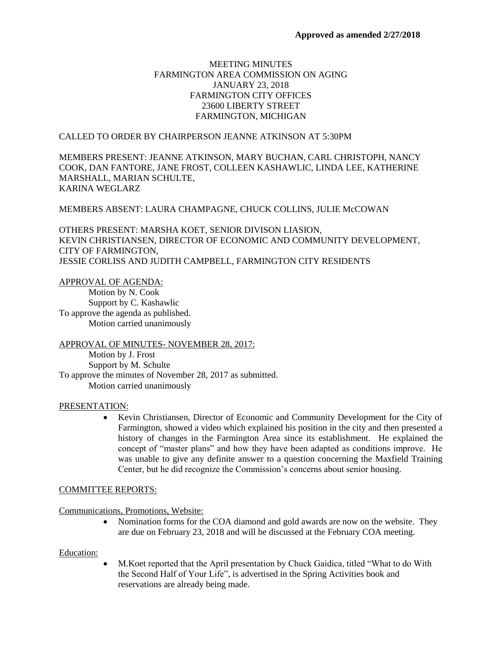# MEETING MINUTES FARMINGTON AREA COMMISSION ON AGING JANUARY 23, 2018 FARMINGTON CITY OFFICES 23600 LIBERTY STREET FARMINGTON, MICHIGAN

### CALLED TO ORDER BY CHAIRPERSON JEANNE ATKINSON AT 5:30PM

MEMBERS PRESENT: JEANNE ATKINSON, MARY BUCHAN, CARL CHRISTOPH, NANCY COOK, DAN FANTORE, JANE FROST, COLLEEN KASHAWLIC, LINDA LEE, KATHERINE MARSHALL, MARIAN SCHULTE, KARINA WEGLARZ

### MEMBERS ABSENT: LAURA CHAMPAGNE, CHUCK COLLINS, JULIE McCOWAN

OTHERS PRESENT: MARSHA KOET, SENIOR DIVISON LIASION, KEVIN CHRISTIANSEN, DIRECTOR OF ECONOMIC AND COMMUNITY DEVELOPMENT, CITY OF FARMINGTON, JESSIE CORLISS AND JUDITH CAMPBELL, FARMINGTON CITY RESIDENTS

### APPROVAL OF AGENDA:

Motion by N. Cook Support by C. Kashawlic To approve the agenda as published. Motion carried unanimously

### APPROVAL OF MINUTES- NOVEMBER 28, 2017:

Motion by J. Frost Support by M. Schulte To approve the minutes of November 28, 2017 as submitted. Motion carried unanimously

### PRESENTATION:

 Kevin Christiansen, Director of Economic and Community Development for the City of Farmington, showed a video which explained his position in the city and then presented a history of changes in the Farmington Area since its establishment. He explained the concept of "master plans" and how they have been adapted as conditions improve. He was unable to give any definite answer to a question concerning the Maxfield Training Center, but he did recognize the Commission's concerns about senior housing.

### COMMITTEE REPORTS:

Communications, Promotions, Website:

• Nomination forms for the COA diamond and gold awards are now on the website. They are due on February 23, 2018 and will be discussed at the February COA meeting.

### Education:

 M.Koet reported that the April presentation by Chuck Gaidica, titled "What to do With the Second Half of Your Life", is advertised in the Spring Activities book and reservations are already being made.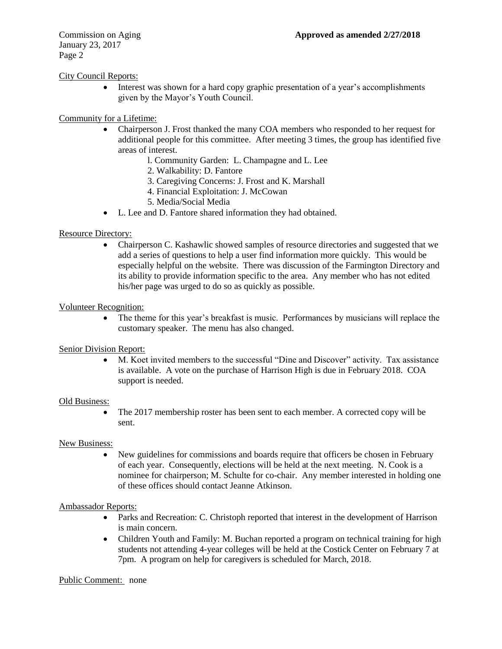January 23, 2017 Page 2

# City Council Reports:

 Interest was shown for a hard copy graphic presentation of a year's accomplishments given by the Mayor's Youth Council.

# Community for a Lifetime:

- Chairperson J. Frost thanked the many COA members who responded to her request for additional people for this committee. After meeting 3 times, the group has identified five areas of interest.
	- l. Community Garden: L. Champagne and L. Lee
	- 2. Walkability: D. Fantore
	- 3. Caregiving Concerns: J. Frost and K. Marshall
	- 4. Financial Exploitation: J. McCowan
	- 5. Media/Social Media
- L. Lee and D. Fantore shared information they had obtained.

## Resource Directory:

 Chairperson C. Kashawlic showed samples of resource directories and suggested that we add a series of questions to help a user find information more quickly. This would be especially helpful on the website. There was discussion of the Farmington Directory and its ability to provide information specific to the area. Any member who has not edited his/her page was urged to do so as quickly as possible.

## Volunteer Recognition:

• The theme for this year's breakfast is music. Performances by musicians will replace the customary speaker. The menu has also changed.

## Senior Division Report:

 M. Koet invited members to the successful "Dine and Discover" activity. Tax assistance is available. A vote on the purchase of Harrison High is due in February 2018. COA support is needed.

### Old Business:

• The 2017 membership roster has been sent to each member. A corrected copy will be sent.

## New Business:

 New guidelines for commissions and boards require that officers be chosen in February of each year. Consequently, elections will be held at the next meeting. N. Cook is a nominee for chairperson; M. Schulte for co-chair. Any member interested in holding one of these offices should contact Jeanne Atkinson.

## Ambassador Reports:

- Parks and Recreation: C. Christoph reported that interest in the development of Harrison is main concern.
- Children Youth and Family: M. Buchan reported a program on technical training for high students not attending 4-year colleges will be held at the Costick Center on February 7 at 7pm. A program on help for caregivers is scheduled for March, 2018.

### Public Comment: none